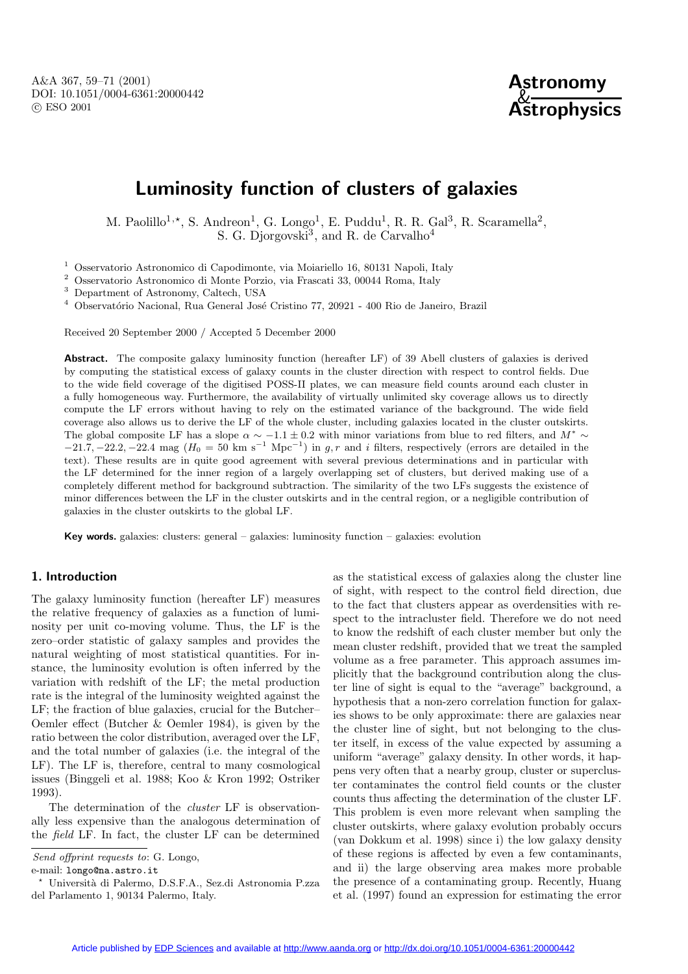A&A 367, 59–71 (2001) DOI: 10.1051/0004-6361:20000442 c ESO 2001



# **Luminosity function of clusters of galaxies**

M. Paolillo<sup>1,\*</sup>, S. Andreon<sup>1</sup>, G. Longo<sup>1</sup>, E. Puddu<sup>1</sup>, R. R. Gal<sup>3</sup>, R. Scaramella<sup>2</sup>, S. G. Djorgovski<sup>3</sup>, and R. de Carvalho<sup>4</sup>

<sup>1</sup> Osservatorio Astronomico di Capodimonte, via Moiariello 16, 80131 Napoli, Italy

<sup>2</sup> Osservatorio Astronomico di Monte Porzio, via Frascati 33, 00044 Roma, Italy

<sup>3</sup> Department of Astronomy, Caltech, USA

 $4$  Observatório Nacional, Rua General José Cristino 77, 20921 - 400 Rio de Janeiro, Brazil

Received 20 September 2000 / Accepted 5 December 2000

**Abstract.** The composite galaxy luminosity function (hereafter LF) of 39 Abell clusters of galaxies is derived by computing the statistical excess of galaxy counts in the cluster direction with respect to control fields. Due to the wide field coverage of the digitised POSS-II plates, we can measure field counts around each cluster in a fully homogeneous way. Furthermore, the availability of virtually unlimited sky coverage allows us to directly compute the LF errors without having to rely on the estimated variance of the background. The wide field coverage also allows us to derive the LF of the whole cluster, including galaxies located in the cluster outskirts. The global composite LF has a slope  $\alpha \sim -1.1 \pm 0.2$  with minor variations from blue to red filters, and  $M^* \sim$  $-21.7, -22.2, -22.4$  mag ( $H_0 = 50$  km s<sup>-1</sup> Mpc<sup>-1</sup>) in g, r and i filters, respectively (errors are detailed in the text). These results are in quite good agreement with several previous determinations and in particular with the LF determined for the inner region of a largely overlapping set of clusters, but derived making use of a completely different method for background subtraction. The similarity of the two LFs suggests the existence of minor differences between the LF in the cluster outskirts and in the central region, or a negligible contribution of galaxies in the cluster outskirts to the global LF.

**Key words.** galaxies: clusters: general – galaxies: luminosity function – galaxies: evolution

# **1. Introduction**

The galaxy luminosity function (hereafter LF) measures the relative frequency of galaxies as a function of luminosity per unit co-moving volume. Thus, the LF is the zero–order statistic of galaxy samples and provides the natural weighting of most statistical quantities. For instance, the luminosity evolution is often inferred by the variation with redshift of the LF; the metal production rate is the integral of the luminosity weighted against the LF; the fraction of blue galaxies, crucial for the Butcher– Oemler effect (Butcher & Oemler 1984), is given by the ratio between the color distribution, averaged over the LF, and the total number of galaxies (i.e. the integral of the LF). The LF is, therefore, central to many cosmological issues (Binggeli et al. 1988; Koo & Kron 1992; Ostriker 1993).

The determination of the cluster LF is observationally less expensive than the analogous determination of the field LF. In fact, the cluster LF can be determined

Send offprint requests to: G. Longo,

e-mail: longo@na.astro.it

as the statistical excess of galaxies along the cluster line of sight, with respect to the control field direction, due to the fact that clusters appear as overdensities with respect to the intracluster field. Therefore we do not need to know the redshift of each cluster member but only the mean cluster redshift, provided that we treat the sampled volume as a free parameter. This approach assumes implicitly that the background contribution along the cluster line of sight is equal to the "average" background, a hypothesis that a non-zero correlation function for galaxies shows to be only approximate: there are galaxies near the cluster line of sight, but not belonging to the cluster itself, in excess of the value expected by assuming a uniform "average" galaxy density. In other words, it happens very often that a nearby group, cluster or supercluster contaminates the control field counts or the cluster counts thus affecting the determination of the cluster LF. This problem is even more relevant when sampling the cluster outskirts, where galaxy evolution probably occurs (van Dokkum et al. 1998) since i) the low galaxy density of these regions is affected by even a few contaminants, and ii) the large observing area makes more probable the presence of a contaminating group. Recently, Huang et al. (1997) found an expression for estimating the error

<sup>?</sup> Universit`a di Palermo, D.S.F.A., Sez.di Astronomia P.zza del Parlamento 1, 90134 Palermo, Italy.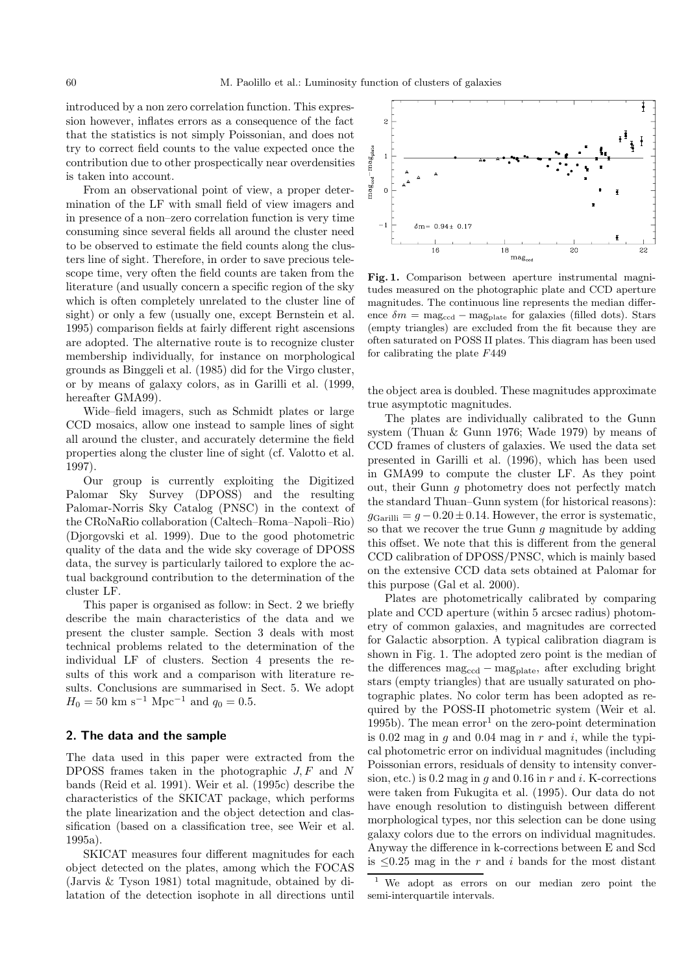introduced by a non zero correlation function. This expression however, inflates errors as a consequence of the fact that the statistics is not simply Poissonian, and does not try to correct field counts to the value expected once the contribution due to other prospectically near overdensities is taken into account.

From an observational point of view, a proper determination of the LF with small field of view imagers and in presence of a non–zero correlation function is very time consuming since several fields all around the cluster need to be observed to estimate the field counts along the clusters line of sight. Therefore, in order to save precious telescope time, very often the field counts are taken from the literature (and usually concern a specific region of the sky which is often completely unrelated to the cluster line of sight) or only a few (usually one, except Bernstein et al. 1995) comparison fields at fairly different right ascensions are adopted. The alternative route is to recognize cluster membership individually, for instance on morphological grounds as Binggeli et al. (1985) did for the Virgo cluster, or by means of galaxy colors, as in Garilli et al. (1999, hereafter GMA99).

Wide–field imagers, such as Schmidt plates or large CCD mosaics, allow one instead to sample lines of sight all around the cluster, and accurately determine the field properties along the cluster line of sight (cf. Valotto et al. 1997).

Our group is currently exploiting the Digitized Palomar Sky Survey (DPOSS) and the resulting Palomar-Norris Sky Catalog (PNSC) in the context of the CRoNaRio collaboration (Caltech–Roma–Napoli–Rio) (Djorgovski et al. 1999). Due to the good photometric quality of the data and the wide sky coverage of DPOSS data, the survey is particularly tailored to explore the actual background contribution to the determination of the cluster LF.

This paper is organised as follow: in Sect. 2 we briefly describe the main characteristics of the data and we present the cluster sample. Section 3 deals with most technical problems related to the determination of the individual LF of clusters. Section 4 presents the results of this work and a comparison with literature results. Conclusions are summarised in Sect. 5. We adopt  $H_0 = 50$  km s<sup>-1</sup> Mpc<sup>-1</sup> and  $q_0 = 0.5$ .

### **2. The data and the sample**

The data used in this paper were extracted from the DPOSS frames taken in the photographic  $J, F$  and N bands (Reid et al. 1991). Weir et al. (1995c) describe the characteristics of the SKICAT package, which performs the plate linearization and the object detection and classification (based on a classification tree, see Weir et al. 1995a).

SKICAT measures four different magnitudes for each object detected on the plates, among which the FOCAS (Jarvis & Tyson 1981) total magnitude, obtained by dilatation of the detection isophote in all directions until



**Fig. 1.** Comparison between aperture instrumental magnitudes measured on the photographic plate and CCD aperture magnitudes. The continuous line represents the median difference  $\delta m = \text{mag}_{\text{cd}} - \text{mag}_{\text{plate}}$  for galaxies (filled dots). Stars (empty triangles) are excluded from the fit because they are often saturated on POSS II plates. This diagram has been used for calibrating the plate F449

the object area is doubled. These magnitudes approximate true asymptotic magnitudes.

The plates are individually calibrated to the Gunn system (Thuan & Gunn 1976; Wade 1979) by means of CCD frames of clusters of galaxies. We used the data set presented in Garilli et al. (1996), which has been used in GMA99 to compute the cluster LF. As they point out, their Gunn g photometry does not perfectly match the standard Thuan–Gunn system (for historical reasons):  $g_{\text{Garilli}} = g - 0.20 \pm 0.14$ . However, the error is systematic, so that we recover the true Gunn  $q$  magnitude by adding this offset. We note that this is different from the general CCD calibration of DPOSS/PNSC, which is mainly based on the extensive CCD data sets obtained at Palomar for this purpose (Gal et al. 2000).

Plates are photometrically calibrated by comparing plate and CCD aperture (within 5 arcsec radius) photometry of common galaxies, and magnitudes are corrected for Galactic absorption. A typical calibration diagram is shown in Fig. 1. The adopted zero point is the median of the differences  $\text{mag}_{\text{ccd}} - \text{mag}_{\text{plate}}$ , after excluding bright stars (empty triangles) that are usually saturated on photographic plates. No color term has been adopted as required by the POSS-II photometric system (Weir et al. 1995b). The mean  $error<sup>1</sup>$  on the zero-point determination is 0.02 mag in q and 0.04 mag in  $r$  and  $i$ , while the typical photometric error on individual magnitudes (including Poissonian errors, residuals of density to intensity conversion, etc.) is 0.2 mag in  $q$  and 0.16 in  $r$  and  $i$ . K-corrections were taken from Fukugita et al. (1995). Our data do not have enough resolution to distinguish between different morphological types, nor this selection can be done using galaxy colors due to the errors on individual magnitudes. Anyway the difference in k-corrections between E and Scd is  $\leq 0.25$  mag in the r and i bands for the most distant

<sup>&</sup>lt;sup>1</sup> We adopt as errors on our median zero point the semi-interquartile intervals.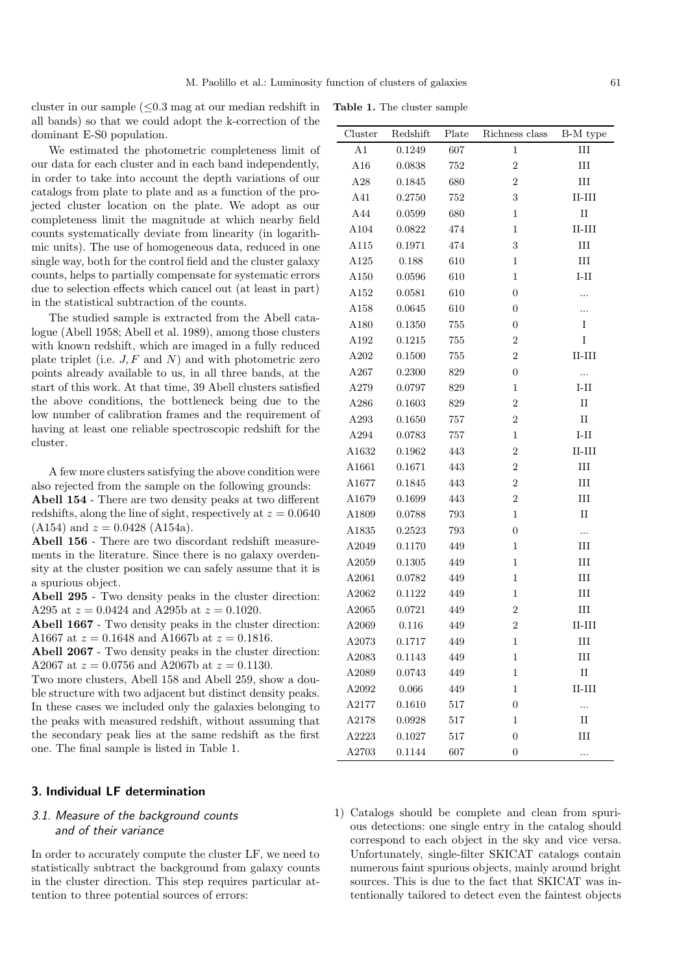**Table 1.** The cluster sample

cluster in our sample  $(\leq 0.3 \text{ mag at our median redshift in})$ all bands) so that we could adopt the k-correction of the dominant E-S0 population.

We estimated the photometric completeness limit of our data for each cluster and in each band independently, in order to take into account the depth variations of our catalogs from plate to plate and as a function of the projected cluster location on the plate. We adopt as our completeness limit the magnitude at which nearby field counts systematically deviate from linearity (in logarithmic units). The use of homogeneous data, reduced in one single way, both for the control field and the cluster galaxy counts, helps to partially compensate for systematic errors due to selection effects which cancel out (at least in part) in the statistical subtraction of the counts.

The studied sample is extracted from the Abell catalogue (Abell 1958; Abell et al. 1989), among those clusters with known redshift, which are imaged in a fully reduced plate triplet (i.e.  $J, F$  and  $N$ ) and with photometric zero points already available to us, in all three bands, at the start of this work. At that time, 39 Abell clusters satisfied the above conditions, the bottleneck being due to the low number of calibration frames and the requirement of having at least one reliable spectroscopic redshift for the cluster.

A few more clusters satisfying the above condition were also rejected from the sample on the following grounds: **Abell 154** - There are two density peaks at two different redshifts, along the line of sight, respectively at  $z = 0.0640$  $(A154)$  and  $z = 0.0428$  (A154a).

**Abell 156** - There are two discordant redshift measurements in the literature. Since there is no galaxy overdensity at the cluster position we can safely assume that it is a spurious object.

**Abell 295** - Two density peaks in the cluster direction: A295 at  $z = 0.0424$  and A295b at  $z = 0.1020$ .

**Abell 1667** - Two density peaks in the cluster direction: A1667 at  $z = 0.1648$  and A1667b at  $z = 0.1816$ .

**Abell 2067** - Two density peaks in the cluster direction: A2067 at  $z = 0.0756$  and A2067b at  $z = 0.1130$ .

Two more clusters, Abell 158 and Abell 259, show a double structure with two adjacent but distinct density peaks. In these cases we included only the galaxies belonging to the peaks with measured redshift, without assuming that the secondary peak lies at the same redshift as the first one. The final sample is listed in Table 1.

# **3. Individual LF determination**

# 3.1. Measure of the background counts and of their variance

In order to accurately compute the cluster LF, we need to statistically subtract the background from galaxy counts in the cluster direction. This step requires particular attention to three potential sources of errors:

| Cluster | Redshift  | Plate | B-M type<br>Richness class |                     |  |
|---------|-----------|-------|----------------------------|---------------------|--|
| A1      | 0.1249    | 607   | 1                          | III                 |  |
| A16     | 0.0838    | 752   | $\boldsymbol{2}$           | Ш                   |  |
| A28     | 0.1845    | 680   | $\overline{2}$             | Ш                   |  |
| A41     | 0.2750    | 752   | 3                          | $\rm II\text{-}III$ |  |
| A44     | 0.0599    | 680   | 1                          | $_{\rm II}$         |  |
| A104    | 0.0822    | 474   | 1                          | $\rm II\text{-}III$ |  |
| A115    | 0.1971    | 474   | 3                          | $\rm III$           |  |
| A125    | 0.188     | 610   | 1                          | $\rm III$           |  |
| A150    | 0.0596    | 610   | 1                          | $\text{I-II}$       |  |
| A152    | 0.0581    | 610   | $\overline{0}$             |                     |  |
| A158    | 0.0645    | 610   | $\overline{0}$             |                     |  |
| A180    | 0.1350    | 755   | 0                          | I                   |  |
| A192    | 0.1215    | 755   | $\boldsymbol{2}$           | I                   |  |
| A202    | 0.1500    | 755   | $\overline{2}$             | $II$ - $III$        |  |
| A267    | 0.2300    | 829   | $\overline{0}$             |                     |  |
| A279    | 0.0797    | 829   | 1                          | $I-II$              |  |
| A286    | 0.1603    | 829   | $\overline{2}$             | П                   |  |
| A293    | 0.1650    | 757   | $\overline{2}$             | $\rm II$            |  |
| A294    | 0.0783    | 757   | $\mathbf{1}$               | $I-II$              |  |
| A1632   | 0.1962    | 443   | $\overline{2}$             | $II$ - $III$        |  |
| A1661   | 0.1671    | 443   | $\overline{2}$             | $\rm III$           |  |
| A1677   | 0.1845    | 443   | $\overline{2}$             | III                 |  |
| A1679   | 0.1699    | 443   | $\overline{2}$             | Ш                   |  |
| A1809   | 0.0788    | 793   | 1                          | $_{\rm II}$         |  |
| A1835   | 0.2523    | 793   | $\overline{0}$             | $\ddotsc$           |  |
| A2049   | 0.1170    | 449   | 1                          | $\rm III$           |  |
| A2059   | 0.1305    | 449   | 1                          | Ш                   |  |
| A2061   | 0.0782    | 449   | 1                          | $\rm III$           |  |
| A2062   | 0.1122    | 449   | $\mathbf{1}$               | $\rm III$           |  |
| A2065   | 0.0721    | 449   | $\overline{2}$             | Ш                   |  |
| A2069   | $0.116\,$ | 449   | $\overline{2}$             | $II$ - $III$        |  |
| A2073   | 0.1717    | 449   | $\mathbf{1}$               | $\rm III$           |  |
| A2083   | 0.1143    | 449   | 1                          | Ш                   |  |
| A2089   | 0.0743    | 449   | $\mathbf{1}$               | $\rm II$            |  |
| A2092   | $0.066\,$ | 449   | 1                          | $II$ - $III$        |  |
| A2177   | 0.1610    | 517   | $\overline{0}$             |                     |  |
| A2178   | 0.0928    | 517   | 1                          | $_{\rm II}$         |  |
| A2223   | 0.1027    | 517   | 0                          | Ш                   |  |
| A2703   | 0.1144    | 607   | $\overline{0}$             | $\ddotsc$           |  |

1) Catalogs should be complete and clean from spurious detections: one single entry in the catalog should correspond to each object in the sky and vice versa. Unfortunately, single-filter SKICAT catalogs contain numerous faint spurious objects, mainly around bright sources. This is due to the fact that SKICAT was intentionally tailored to detect even the faintest objects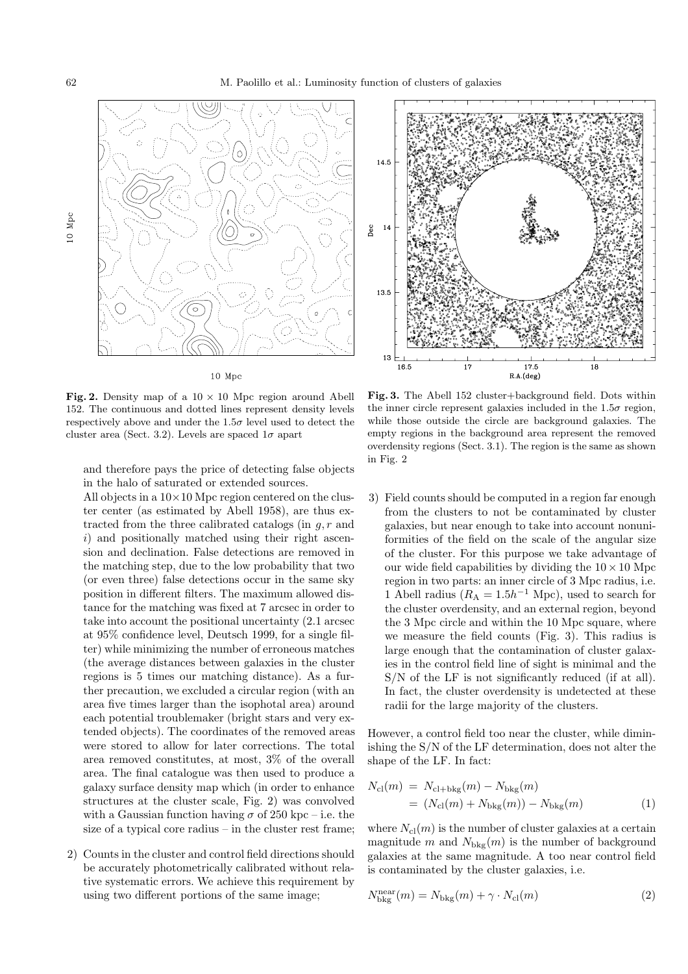

**Fig. 2.** Density map of a  $10 \times 10$  Mpc region around Abell 152. The continuous and dotted lines represent density levels respectively above and under the  $1.5\sigma$  level used to detect the cluster area (Sect. 3.2). Levels are spaced  $1\sigma$  apart

and therefore pays the price of detecting false objects in the halo of saturated or extended sources.

All objects in a  $10\times10$  Mpc region centered on the cluster center (as estimated by Abell 1958), are thus extracted from the three calibrated catalogs (in  $g, r$  and i) and positionally matched using their right ascension and declination. False detections are removed in the matching step, due to the low probability that two (or even three) false detections occur in the same sky position in different filters. The maximum allowed distance for the matching was fixed at 7 arcsec in order to take into account the positional uncertainty (2.1 arcsec at 95% confidence level, Deutsch 1999, for a single filter) while minimizing the number of erroneous matches (the average distances between galaxies in the cluster regions is 5 times our matching distance). As a further precaution, we excluded a circular region (with an area five times larger than the isophotal area) around each potential troublemaker (bright stars and very extended objects). The coordinates of the removed areas were stored to allow for later corrections. The total area removed constitutes, at most, 3% of the overall area. The final catalogue was then used to produce a galaxy surface density map which (in order to enhance structures at the cluster scale, Fig. 2) was convolved with a Gaussian function having  $\sigma$  of 250 kpc – i.e. the size of a typical core radius – in the cluster rest frame;

2) Counts in the cluster and control field directions should be accurately photometrically calibrated without relative systematic errors. We achieve this requirement by using two different portions of the same image;



**Fig. 3.** The Abell 152 cluster+background field. Dots within the inner circle represent galaxies included in the  $1.5\sigma$  region, while those outside the circle are background galaxies. The empty regions in the background area represent the removed overdensity regions (Sect. 3.1). The region is the same as shown in Fig. 2

3) Field counts should be computed in a region far enough from the clusters to not be contaminated by cluster galaxies, but near enough to take into account nonuniformities of the field on the scale of the angular size of the cluster. For this purpose we take advantage of our wide field capabilities by dividing the  $10 \times 10$  Mpc region in two parts: an inner circle of 3 Mpc radius, i.e. 1 Abell radius ( $R_A = 1.5h^{-1}$  Mpc), used to search for the cluster overdensity, and an external region, beyond the 3 Mpc circle and within the 10 Mpc square, where we measure the field counts (Fig. 3). This radius is large enough that the contamination of cluster galaxies in the control field line of sight is minimal and the S/N of the LF is not significantly reduced (if at all). In fact, the cluster overdensity is undetected at these radii for the large majority of the clusters.

However, a control field too near the cluster, while diminishing the S/N of the LF determination, does not alter the shape of the LF. In fact:

$$
N_{\rm cl}(m) = N_{\rm cl+bkg}(m) - N_{\rm bkg}(m)
$$
  
=  $(N_{\rm cl}(m) + N_{\rm bkg}(m)) - N_{\rm bkg}(m)$  (1)

where  $N_{\rm cl}(m)$  is the number of cluster galaxies at a certain magnitude m and  $N_{\text{bkg}}(m)$  is the number of background galaxies at the same magnitude. A too near control field is contaminated by the cluster galaxies, i.e.

$$
N_{\rm bkg}^{\rm near}(m) = N_{\rm bkg}(m) + \gamma \cdot N_{\rm cl}(m) \tag{2}
$$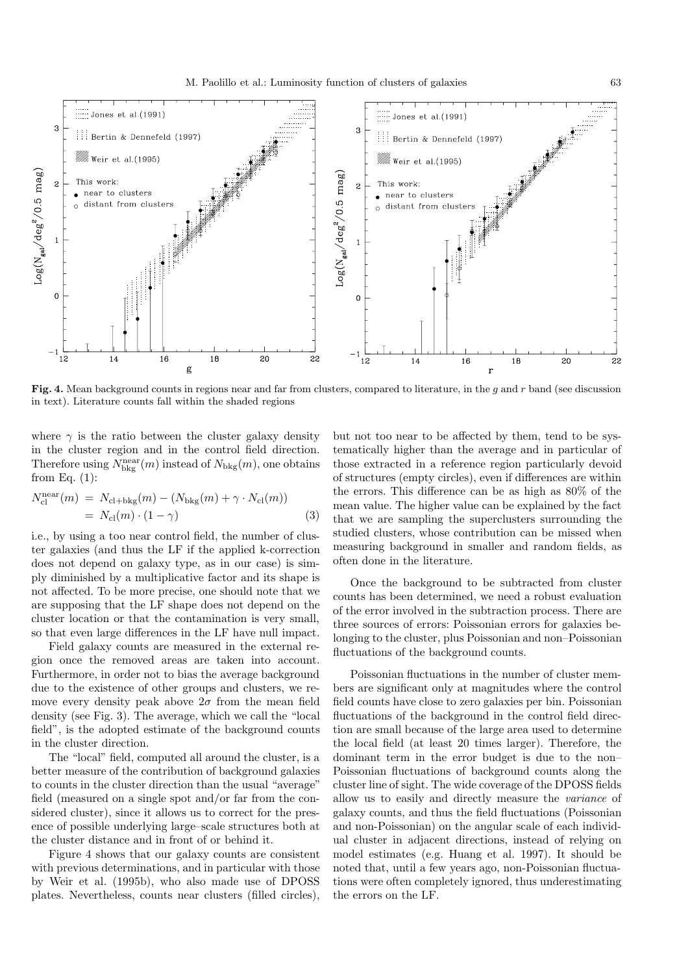

**Fig. 4.** Mean background counts in regions near and far from clusters, compared to literature, in the g and r band (see discussion in text). Literature counts fall within the shaded regions

where  $\gamma$  is the ratio between the cluster galaxy density in the cluster region and in the control field direction. Therefore using  $N_{\text{bkg}}^{\text{near}}(m)$  instead of  $N_{\text{bkg}}(m)$ , one obtains from Eq.  $(1)$ :

$$
N_{\rm cl}^{\rm near}(m) = N_{\rm cl+bkg}(m) - (N_{\rm bkg}(m) + \gamma \cdot N_{\rm cl}(m))
$$
  
=  $N_{\rm cl}(m) \cdot (1 - \gamma)$  (3)

i.e., by using a too near control field, the number of cluster galaxies (and thus the LF if the applied k-correction does not depend on galaxy type, as in our case) is simply diminished by a multiplicative factor and its shape is not affected. To be more precise, one should note that we are supposing that the LF shape does not depend on the cluster location or that the contamination is very small, so that even large differences in the LF have null impact.

Field galaxy counts are measured in the external region once the removed areas are taken into account. Furthermore, in order not to bias the average background due to the existence of other groups and clusters, we remove every density peak above  $2\sigma$  from the mean field density (see Fig. 3). The average, which we call the "local field", is the adopted estimate of the background counts in the cluster direction.

The "local" field, computed all around the cluster, is a better measure of the contribution of background galaxies to counts in the cluster direction than the usual "average" field (measured on a single spot and/or far from the considered cluster), since it allows us to correct for the presence of possible underlying large–scale structures both at the cluster distance and in front of or behind it.

Figure 4 shows that our galaxy counts are consistent with previous determinations, and in particular with those by Weir et al. (1995b), who also made use of DPOSS plates. Nevertheless, counts near clusters (filled circles),

but not too near to be affected by them, tend to be systematically higher than the average and in particular of those extracted in a reference region particularly devoid of structures (empty circles), even if differences are within the errors. This difference can be as high as 80% of the mean value. The higher value can be explained by the fact that we are sampling the superclusters surrounding the studied clusters, whose contribution can be missed when measuring background in smaller and random fields, as often done in the literature.

Once the background to be subtracted from cluster counts has been determined, we need a robust evaluation of the error involved in the subtraction process. There are three sources of errors: Poissonian errors for galaxies belonging to the cluster, plus Poissonian and non–Poissonian fluctuations of the background counts.

Poissonian fluctuations in the number of cluster members are significant only at magnitudes where the control field counts have close to zero galaxies per bin. Poissonian fluctuations of the background in the control field direction are small because of the large area used to determine the local field (at least 20 times larger). Therefore, the dominant term in the error budget is due to the non– Poissonian fluctuations of background counts along the cluster line of sight. The wide coverage of the DPOSS fields allow us to easily and directly measure the variance of galaxy counts, and thus the field fluctuations (Poissonian and non-Poissonian) on the angular scale of each individual cluster in adjacent directions, instead of relying on model estimates (e.g. Huang et al. 1997). It should be noted that, until a few years ago, non-Poissonian fluctuations were often completely ignored, thus underestimating the errors on the LF.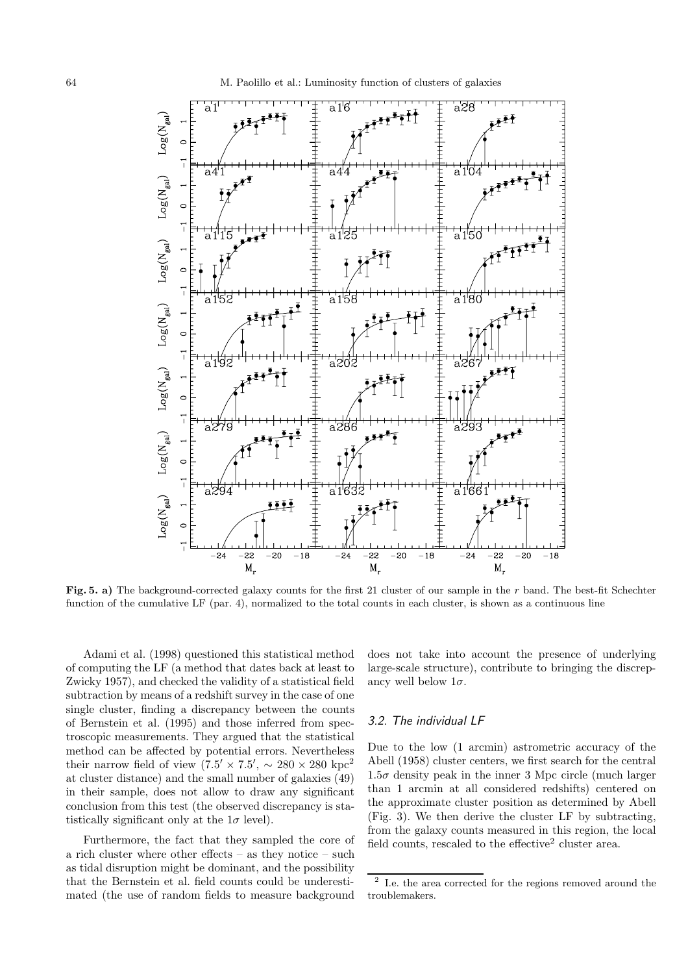

**Fig. 5. a)** The background-corrected galaxy counts for the first 21 cluster of our sample in the r band. The best-fit Schechter function of the cumulative LF (par. 4), normalized to the total counts in each cluster, is shown as a continuous line

Adami et al. (1998) questioned this statistical method of computing the LF (a method that dates back at least to Zwicky 1957), and checked the validity of a statistical field subtraction by means of a redshift survey in the case of one single cluster, finding a discrepancy between the counts of Bernstein et al. (1995) and those inferred from spectroscopic measurements. They argued that the statistical method can be affected by potential errors. Nevertheless their narrow field of view  $(7.5' \times 7.5', \sim 280 \times 280 \text{ kpc}^2)$ at cluster distance) and the small number of galaxies (49) in their sample, does not allow to draw any significant conclusion from this test (the observed discrepancy is statistically significant only at the  $1\sigma$  level).

Furthermore, the fact that they sampled the core of a rich cluster where other effects – as they notice – such as tidal disruption might be dominant, and the possibility that the Bernstein et al. field counts could be underestimated (the use of random fields to measure background does not take into account the presence of underlying large-scale structure), contribute to bringing the discrepancy well below  $1\sigma$ .

## 3.2. The individual LF

Due to the low (1 arcmin) astrometric accuracy of the Abell (1958) cluster centers, we first search for the central  $1.5\sigma$  density peak in the inner 3 Mpc circle (much larger than 1 arcmin at all considered redshifts) centered on the approximate cluster position as determined by Abell (Fig. 3). We then derive the cluster LF by subtracting, from the galaxy counts measured in this region, the local field counts, rescaled to the effective<sup>2</sup> cluster area.

<sup>2</sup> I.e. the area corrected for the regions removed around the troublemakers.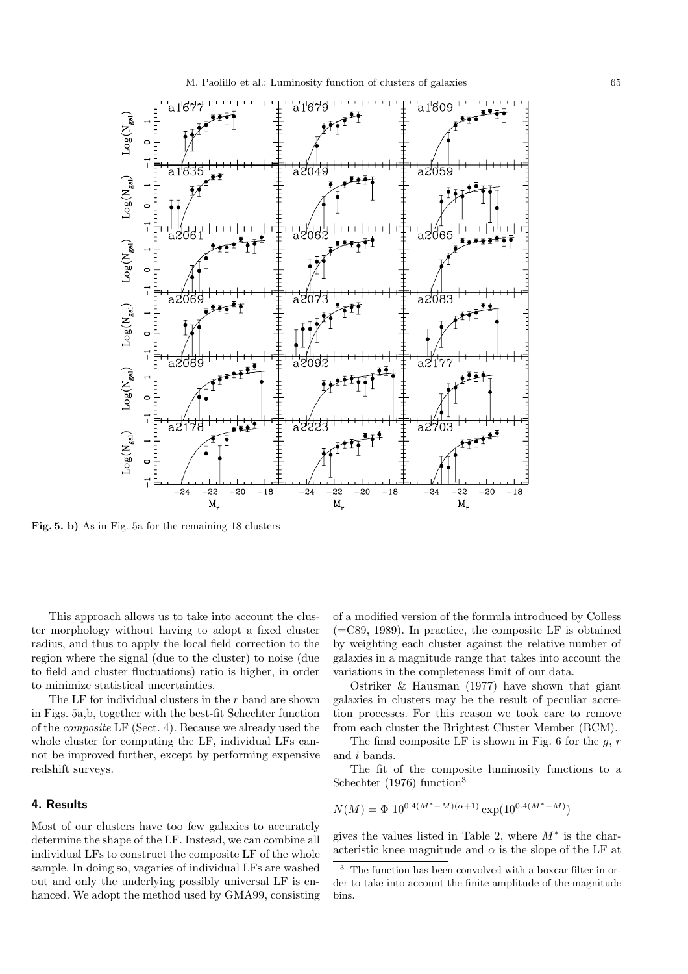

**Fig. 5. b)** As in Fig. 5a for the remaining 18 clusters

This approach allows us to take into account the cluster morphology without having to adopt a fixed cluster radius, and thus to apply the local field correction to the region where the signal (due to the cluster) to noise (due to field and cluster fluctuations) ratio is higher, in order to minimize statistical uncertainties.

The LF for individual clusters in the r band are shown in Figs. 5a,b, together with the best-fit Schechter function of the composite LF (Sect. 4). Because we already used the whole cluster for computing the LF, individual LFs cannot be improved further, except by performing expensive redshift surveys.

# **4. Results**

Most of our clusters have too few galaxies to accurately determine the shape of the LF. Instead, we can combine all individual LFs to construct the composite LF of the whole sample. In doing so, vagaries of individual LFs are washed out and only the underlying possibly universal LF is enhanced. We adopt the method used by GMA99, consisting of a modified version of the formula introduced by Colless  $(=C89, 1989)$ . In practice, the composite LF is obtained by weighting each cluster against the relative number of galaxies in a magnitude range that takes into account the variations in the completeness limit of our data.

Ostriker & Hausman (1977) have shown that giant galaxies in clusters may be the result of peculiar accretion processes. For this reason we took care to remove from each cluster the Brightest Cluster Member (BCM).

The final composite LF is shown in Fig. 6 for the  $q, r$ and i bands.

The fit of the composite luminosity functions to a Schechter (1976) function<sup>3</sup>

$$
N(M) = \Phi \ 10^{0.4(M^* - M)(\alpha + 1)} \exp(10^{0.4(M^* - M)})
$$

gives the values listed in Table 2, where  $M^*$  is the characteristic knee magnitude and  $\alpha$  is the slope of the LF at

<sup>3</sup> The function has been convolved with a boxcar filter in order to take into account the finite amplitude of the magnitude bins.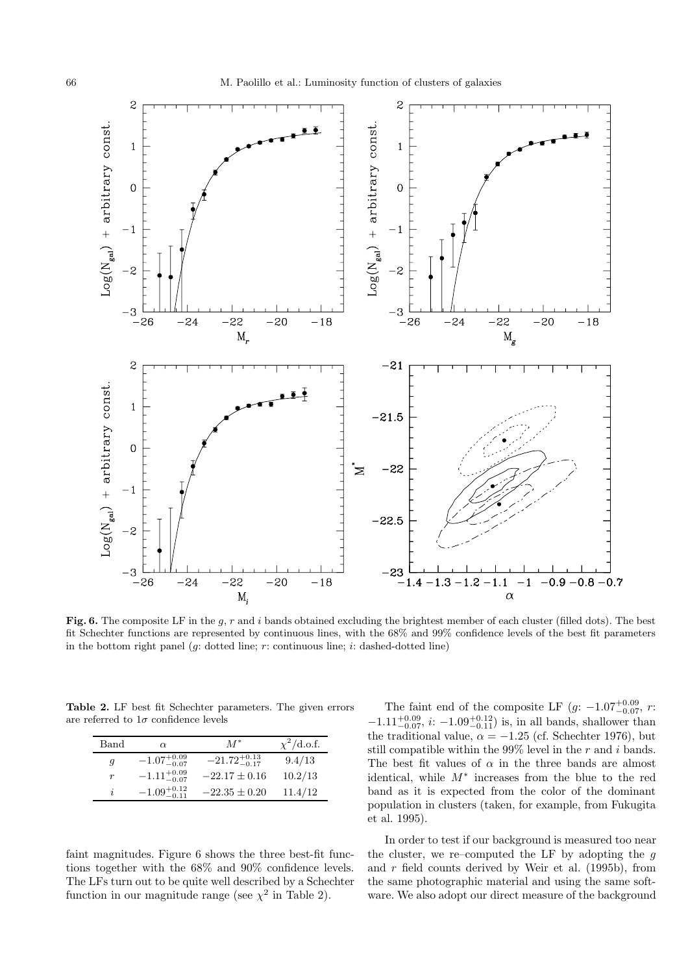

Fig. 6. The composite LF in the g, r and i bands obtained excluding the brightest member of each cluster (filled dots). The best fit Schechter functions are represented by continuous lines, with the 68% and 99% confidence levels of the best fit parameters in the bottom right panel  $(g: \text{ dotted line}; r: \text{continuous line}; i: \text{dashed-dotted line})$ 

**Table 2.** LF best fit Schechter parameters. The given errors are referred to  $1\sigma$  confidence levels

| Band | $\alpha$                | $M^*$                    | $\chi^2$ /d.o.f. |
|------|-------------------------|--------------------------|------------------|
| g    | $-1.07^{+0.09}_{-0.07}$ | $-21.72_{-0.17}^{+0.13}$ | 9.4/13           |
| r    | $-1.11^{+0.09}_{-0.07}$ | $-22.17 \pm 0.16$        | 10.2/13          |
| i    | $-1.09^{+0.12}_{-0.11}$ | $-22.35 \pm 0.20$        | 11.4/12          |

faint magnitudes. Figure 6 shows the three best-fit functions together with the 68% and 90% confidence levels. The LFs turn out to be quite well described by a Schechter function in our magnitude range (see  $\chi^2$  in Table 2).

The faint end of the composite LF  $(g: -1.07_{-0.07}^{+0.09}, r:$  $-1.11^{+0.09}_{-0.07}$ , i:  $-1.09^{+0.12}_{-0.11}$ ) is, in all bands, shallower than the traditional value,  $\alpha = -1.25$  (cf. Schechter 1976), but still compatible within the  $99\%$  level in the r and i bands. The best fit values of  $\alpha$  in the three bands are almost identical, while M<sup>∗</sup> increases from the blue to the red band as it is expected from the color of the dominant population in clusters (taken, for example, from Fukugita et al. 1995).

In order to test if our background is measured too near the cluster, we re–computed the LF by adopting the  $q$ and  $r$  field counts derived by Weir et al. (1995b), from the same photographic material and using the same software. We also adopt our direct measure of the background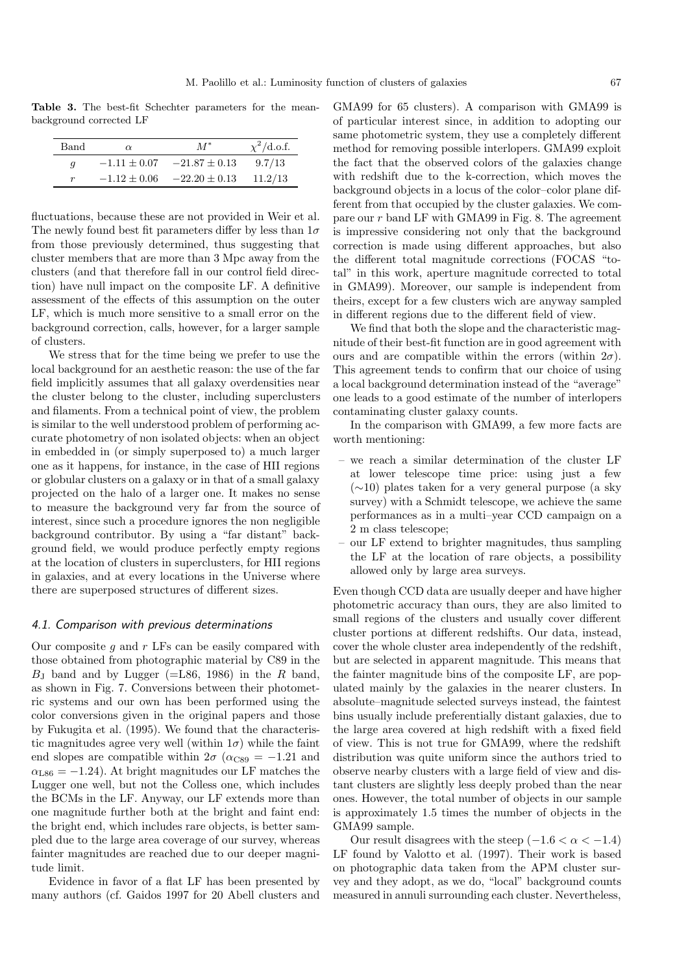**Table 3.** The best-fit Schechter parameters for the meanbackground corrected LF

| Band | Ω                | $M^*$             | $\chi^2$ /d.o.f. |
|------|------------------|-------------------|------------------|
| q    | $-1.11 \pm 0.07$ | $-21.87 \pm 0.13$ | 9.7/13           |
| r    | $-1.12 + 0.06$   | $-22.20 \pm 0.13$ | 11.2/13          |

fluctuations, because these are not provided in Weir et al. The newly found best fit parameters differ by less than  $1\sigma$ from those previously determined, thus suggesting that cluster members that are more than 3 Mpc away from the clusters (and that therefore fall in our control field direction) have null impact on the composite LF. A definitive assessment of the effects of this assumption on the outer LF, which is much more sensitive to a small error on the background correction, calls, however, for a larger sample of clusters.

We stress that for the time being we prefer to use the local background for an aesthetic reason: the use of the far field implicitly assumes that all galaxy overdensities near the cluster belong to the cluster, including superclusters and filaments. From a technical point of view, the problem is similar to the well understood problem of performing accurate photometry of non isolated objects: when an object in embedded in (or simply superposed to) a much larger one as it happens, for instance, in the case of HII regions or globular clusters on a galaxy or in that of a small galaxy projected on the halo of a larger one. It makes no sense to measure the background very far from the source of interest, since such a procedure ignores the non negligible background contributor. By using a "far distant" background field, we would produce perfectly empty regions at the location of clusters in superclusters, for HII regions in galaxies, and at every locations in the Universe where there are superposed structures of different sizes.

#### 4.1. Comparison with previous determinations

Our composite  $q$  and  $r$  LFs can be easily compared with those obtained from photographic material by C89 in the  $B_J$  band and by Lugger (=L86, 1986) in the R band, as shown in Fig. 7. Conversions between their photometric systems and our own has been performed using the color conversions given in the original papers and those by Fukugita et al. (1995). We found that the characteristic magnitudes agree very well (within  $1\sigma$ ) while the faint end slopes are compatible within  $2\sigma$  ( $\alpha$ <sub>C89</sub> = -1.21 and  $\alpha_{\text{L86}} = -1.24$ . At bright magnitudes our LF matches the Lugger one well, but not the Colless one, which includes the BCMs in the LF. Anyway, our LF extends more than one magnitude further both at the bright and faint end: the bright end, which includes rare objects, is better sampled due to the large area coverage of our survey, whereas fainter magnitudes are reached due to our deeper magnitude limit.

Evidence in favor of a flat LF has been presented by many authors (cf. Gaidos 1997 for 20 Abell clusters and GMA99 for 65 clusters). A comparison with GMA99 is of particular interest since, in addition to adopting our same photometric system, they use a completely different method for removing possible interlopers. GMA99 exploit the fact that the observed colors of the galaxies change with redshift due to the k-correction, which moves the background objects in a locus of the color–color plane different from that occupied by the cluster galaxies. We compare our  $r$  band LF with GMA99 in Fig. 8. The agreement is impressive considering not only that the background correction is made using different approaches, but also the different total magnitude corrections (FOCAS "total" in this work, aperture magnitude corrected to total in GMA99). Moreover, our sample is independent from theirs, except for a few clusters wich are anyway sampled in different regions due to the different field of view.

We find that both the slope and the characteristic magnitude of their best-fit function are in good agreement with ours and are compatible within the errors (within  $2\sigma$ ). This agreement tends to confirm that our choice of using a local background determination instead of the "average" one leads to a good estimate of the number of interlopers contaminating cluster galaxy counts.

In the comparison with GMA99, a few more facts are worth mentioning:

- we reach a similar determination of the cluster LF at lower telescope time price: using just a few (∼10) plates taken for a very general purpose (a sky survey) with a Schmidt telescope, we achieve the same performances as in a multi–year CCD campaign on a 2 m class telescope;
- our LF extend to brighter magnitudes, thus sampling the LF at the location of rare objects, a possibility allowed only by large area surveys.

Even though CCD data are usually deeper and have higher photometric accuracy than ours, they are also limited to small regions of the clusters and usually cover different cluster portions at different redshifts. Our data, instead, cover the whole cluster area independently of the redshift, but are selected in apparent magnitude. This means that the fainter magnitude bins of the composite LF, are populated mainly by the galaxies in the nearer clusters. In absolute–magnitude selected surveys instead, the faintest bins usually include preferentially distant galaxies, due to the large area covered at high redshift with a fixed field of view. This is not true for GMA99, where the redshift distribution was quite uniform since the authors tried to observe nearby clusters with a large field of view and distant clusters are slightly less deeply probed than the near ones. However, the total number of objects in our sample is approximately 1.5 times the number of objects in the GMA99 sample.

Our result disagrees with the steep  $(-1.6 < \alpha < -1.4)$ LF found by Valotto et al. (1997). Their work is based on photographic data taken from the APM cluster survey and they adopt, as we do, "local" background counts measured in annuli surrounding each cluster. Nevertheless,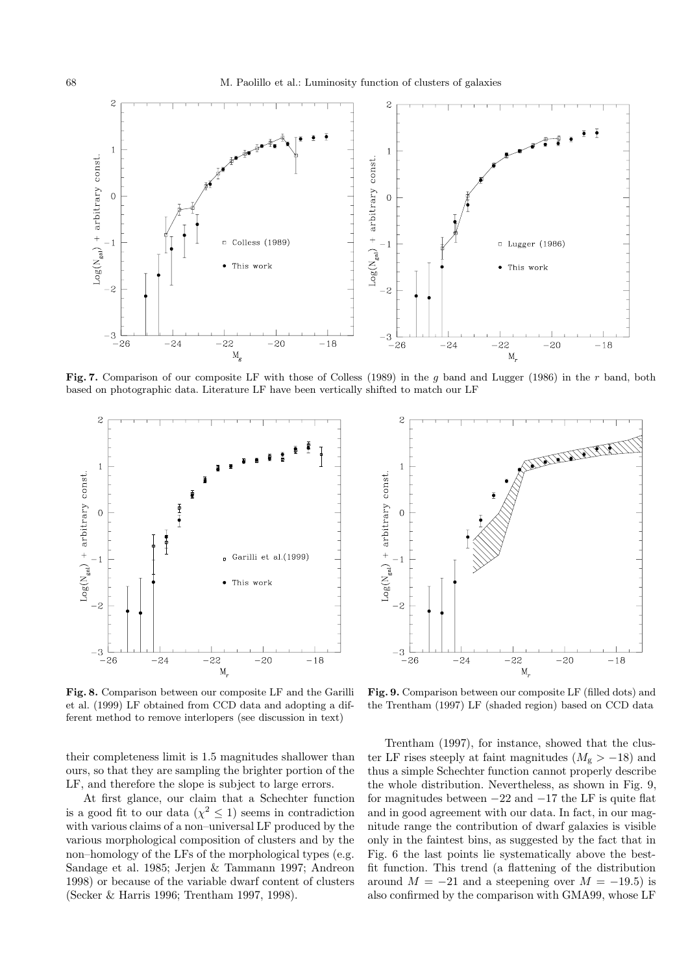

**Fig. 7.** Comparison of our composite LF with those of Colless (1989) in the g band and Lugger (1986) in the r band, both based on photographic data. Literature LF have been vertically shifted to match our LF



**Fig. 8.** Comparison between our composite LF and the Garilli et al. (1999) LF obtained from CCD data and adopting a different method to remove interlopers (see discussion in text)

their completeness limit is 1.5 magnitudes shallower than ours, so that they are sampling the brighter portion of the LF, and therefore the slope is subject to large errors.

At first glance, our claim that a Schechter function is a good fit to our data ( $\chi^2 \leq 1$ ) seems in contradiction with various claims of a non–universal LF produced by the various morphological composition of clusters and by the non–homology of the LFs of the morphological types (e.g. Sandage et al. 1985; Jerjen & Tammann 1997; Andreon 1998) or because of the variable dwarf content of clusters (Secker & Harris 1996; Trentham 1997, 1998).



**Fig. 9.** Comparison between our composite LF (filled dots) and the Trentham (1997) LF (shaded region) based on CCD data

Trentham (1997), for instance, showed that the cluster LF rises steeply at faint magnitudes  $(M<sub>g</sub> > -18)$  and thus a simple Schechter function cannot properly describe the whole distribution. Nevertheless, as shown in Fig. 9, for magnitudes between  $-22$  and  $-17$  the LF is quite flat and in good agreement with our data. In fact, in our magnitude range the contribution of dwarf galaxies is visible only in the faintest bins, as suggested by the fact that in Fig. 6 the last points lie systematically above the bestfit function. This trend (a flattening of the distribution around  $M = -21$  and a steepening over  $M = -19.5$ ) is also confirmed by the comparison with GMA99, whose LF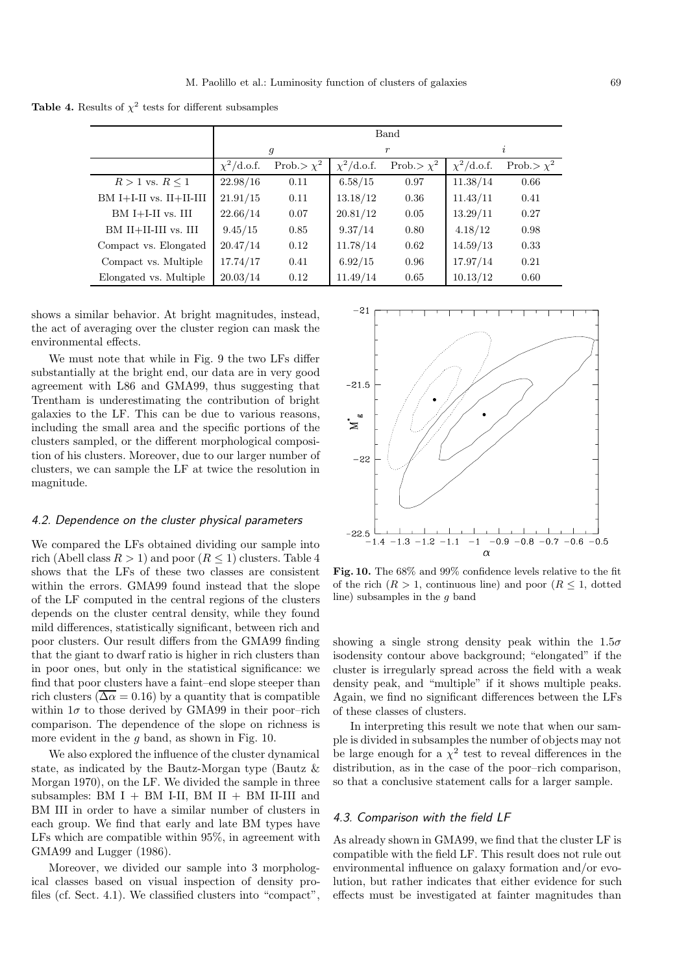**Table 4.** Results of  $\chi^2$  tests for different subsamples

|                           | Band             |                 |                  |                 |                  |                 |
|---------------------------|------------------|-----------------|------------------|-----------------|------------------|-----------------|
|                           | $\mathfrak{g}$   |                 | $\boldsymbol{r}$ |                 | i                |                 |
|                           | $\chi^2$ /d.o.f. | Prob.> $\chi^2$ | $\chi^2$ /d.o.f. | Prob.> $\chi^2$ | $\chi^2$ /d.o.f. | Prob.> $\chi^2$ |
| $R > 1$ vs. $R \leq 1$    | 22.98/16         | 0.11            | 6.58/15          | 0.97            | 11.38/14         | 0.66            |
| $BM I+I-II vs. II+II-III$ | 21.91/15         | 0.11            | 13.18/12         | 0.36            | 11.43/11         | 0.41            |
| BM I+I-II vs. III         | 22.66/14         | 0.07            | 20.81/12         | 0.05            | 13.29/11         | 0.27            |
| BM II+II-III vs. III      | 9.45/15          | 0.85            | 9.37/14          | 0.80            | 4.18/12          | 0.98            |
| Compact vs. Elongated     | 20.47/14         | 0.12            | 11.78/14         | 0.62            | 14.59/13         | 0.33            |
| Compact vs. Multiple      | 17.74/17         | 0.41            | 6.92/15          | 0.96            | 17.97/14         | 0.21            |
| Elongated vs. Multiple    | 20.03/14         | 0.12            | 11.49/14         | 0.65            | 10.13/12         | 0.60            |

shows a similar behavior. At bright magnitudes, instead, the act of averaging over the cluster region can mask the environmental effects.

We must note that while in Fig. 9 the two LFs differ substantially at the bright end, our data are in very good agreement with L86 and GMA99, thus suggesting that Trentham is underestimating the contribution of bright galaxies to the LF. This can be due to various reasons, including the small area and the specific portions of the clusters sampled, or the different morphological composition of his clusters. Moreover, due to our larger number of clusters, we can sample the LF at twice the resolution in magnitude.

## 4.2. Dependence on the cluster physical parameters

We compared the LFs obtained dividing our sample into rich (Abell class  $R > 1$ ) and poor  $(R \le 1)$  clusters. Table 4 shows that the LFs of these two classes are consistent within the errors. GMA99 found instead that the slope of the LF computed in the central regions of the clusters depends on the cluster central density, while they found mild differences, statistically significant, between rich and poor clusters. Our result differs from the GMA99 finding that the giant to dwarf ratio is higher in rich clusters than in poor ones, but only in the statistical significance: we find that poor clusters have a faint–end slope steeper than rich clusters ( $\overline{\Delta \alpha} = 0.16$ ) by a quantity that is compatible within  $1\sigma$  to those derived by GMA99 in their poor-rich comparison. The dependence of the slope on richness is more evident in the  $q$  band, as shown in Fig. 10.

We also explored the influence of the cluster dynamical state, as indicated by the Bautz-Morgan type (Bautz & Morgan 1970), on the LF. We divided the sample in three subsamples: BM I + BM I-II, BM II + BM II-III and BM III in order to have a similar number of clusters in each group. We find that early and late BM types have LFs which are compatible within 95%, in agreement with GMA99 and Lugger (1986).

Moreover, we divided our sample into 3 morphological classes based on visual inspection of density profiles (cf. Sect. 4.1). We classified clusters into "compact",



**Fig. 10.** The 68% and 99% confidence levels relative to the fit of the rich  $(R > 1$ , continuous line) and poor  $(R \leq 1$ , dotted line) subsamples in the  $q$  band

showing a single strong density peak within the  $1.5\sigma$ isodensity contour above background; "elongated" if the cluster is irregularly spread across the field with a weak density peak, and "multiple" if it shows multiple peaks. Again, we find no significant differences between the LFs of these classes of clusters.

In interpreting this result we note that when our sample is divided in subsamples the number of objects may not be large enough for a  $\chi^2$  test to reveal differences in the distribution, as in the case of the poor–rich comparison, so that a conclusive statement calls for a larger sample.

## 4.3. Comparison with the field LF

As already shown in GMA99, we find that the cluster LF is compatible with the field LF. This result does not rule out environmental influence on galaxy formation and/or evolution, but rather indicates that either evidence for such effects must be investigated at fainter magnitudes than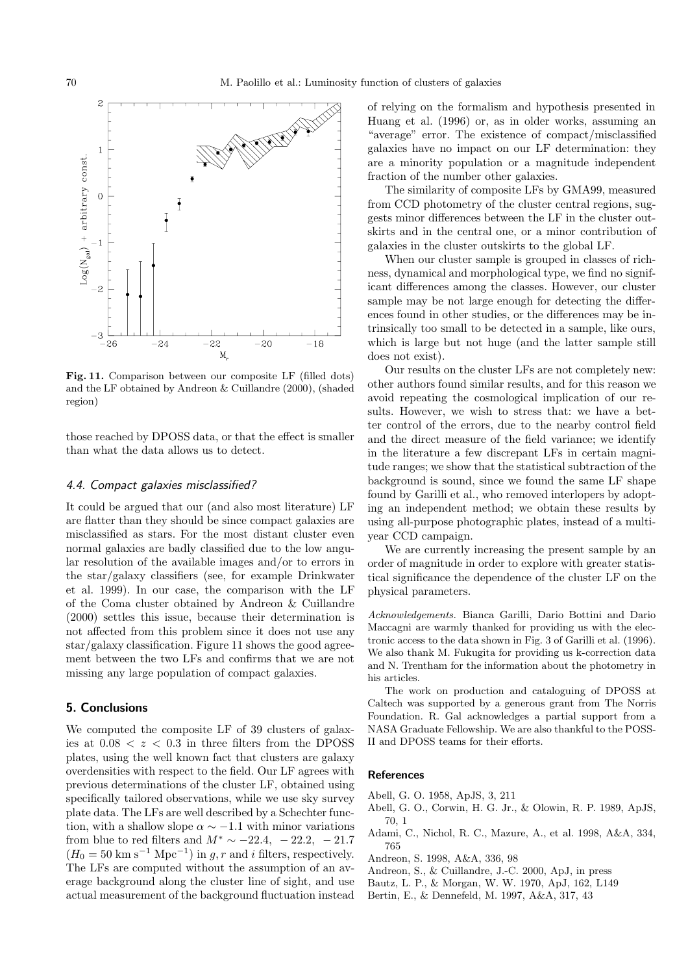

**Fig. 11.** Comparison between our composite LF (filled dots) and the LF obtained by Andreon & Cuillandre (2000), (shaded region)

those reached by DPOSS data, or that the effect is smaller than what the data allows us to detect.

## 4.4. Compact galaxies misclassified?

It could be argued that our (and also most literature) LF are flatter than they should be since compact galaxies are misclassified as stars. For the most distant cluster even normal galaxies are badly classified due to the low angular resolution of the available images and/or to errors in the star/galaxy classifiers (see, for example Drinkwater et al. 1999). In our case, the comparison with the LF of the Coma cluster obtained by Andreon & Cuillandre (2000) settles this issue, because their determination is not affected from this problem since it does not use any star/galaxy classification. Figure 11 shows the good agreement between the two LFs and confirms that we are not missing any large population of compact galaxies.

## **5. Conclusions**

We computed the composite LF of 39 clusters of galaxies at  $0.08 < z < 0.3$  in three filters from the DPOSS plates, using the well known fact that clusters are galaxy overdensities with respect to the field. Our LF agrees with previous determinations of the cluster LF, obtained using specifically tailored observations, while we use sky survey plate data. The LFs are well described by a Schechter function, with a shallow slope  $\alpha \sim -1.1$  with minor variations from blue to red filters and  $M^* \sim -22.4$ ,  $-22.2$ ,  $-21.7$  $(H_0 = 50 \text{ km s}^{-1} \text{ Mpc}^{-1})$  in g, r and i filters, respectively. The LFs are computed without the assumption of an average background along the cluster line of sight, and use actual measurement of the background fluctuation instead of relying on the formalism and hypothesis presented in Huang et al. (1996) or, as in older works, assuming an "average" error. The existence of compact/misclassified galaxies have no impact on our LF determination: they are a minority population or a magnitude independent fraction of the number other galaxies.

The similarity of composite LFs by GMA99, measured from CCD photometry of the cluster central regions, suggests minor differences between the LF in the cluster outskirts and in the central one, or a minor contribution of galaxies in the cluster outskirts to the global LF.

When our cluster sample is grouped in classes of richness, dynamical and morphological type, we find no significant differences among the classes. However, our cluster sample may be not large enough for detecting the differences found in other studies, or the differences may be intrinsically too small to be detected in a sample, like ours, which is large but not huge (and the latter sample still does not exist).

Our results on the cluster LFs are not completely new: other authors found similar results, and for this reason we avoid repeating the cosmological implication of our results. However, we wish to stress that: we have a better control of the errors, due to the nearby control field and the direct measure of the field variance; we identify in the literature a few discrepant LFs in certain magnitude ranges; we show that the statistical subtraction of the background is sound, since we found the same LF shape found by Garilli et al., who removed interlopers by adopting an independent method; we obtain these results by using all-purpose photographic plates, instead of a multiyear CCD campaign.

We are currently increasing the present sample by an order of magnitude in order to explore with greater statistical significance the dependence of the cluster LF on the physical parameters.

Acknowledgements. Bianca Garilli, Dario Bottini and Dario Maccagni are warmly thanked for providing us with the electronic access to the data shown in Fig. 3 of Garilli et al. (1996). We also thank M. Fukugita for providing us k-correction data and N. Trentham for the information about the photometry in his articles.

The work on production and cataloguing of DPOSS at Caltech was supported by a generous grant from The Norris Foundation. R. Gal acknowledges a partial support from a NASA Graduate Fellowship. We are also thankful to the POSS-II and DPOSS teams for their efforts.

#### **References**

Abell, G. O. 1958, ApJS, 3, 211

- Abell, G. O., Corwin, H. G. Jr., & Olowin, R. P. 1989, ApJS, 70, 1
- Adami, C., Nichol, R. C., Mazure, A., et al. 1998, A&A, 334, 765
- Andreon, S. 1998, A&A, 336, 98
- Andreon, S., & Cuillandre, J.-C. 2000, ApJ, in press
- Bautz, L. P., & Morgan, W. W. 1970, ApJ, 162, L149
- Bertin, E., & Dennefeld, M. 1997, A&A, 317, 43